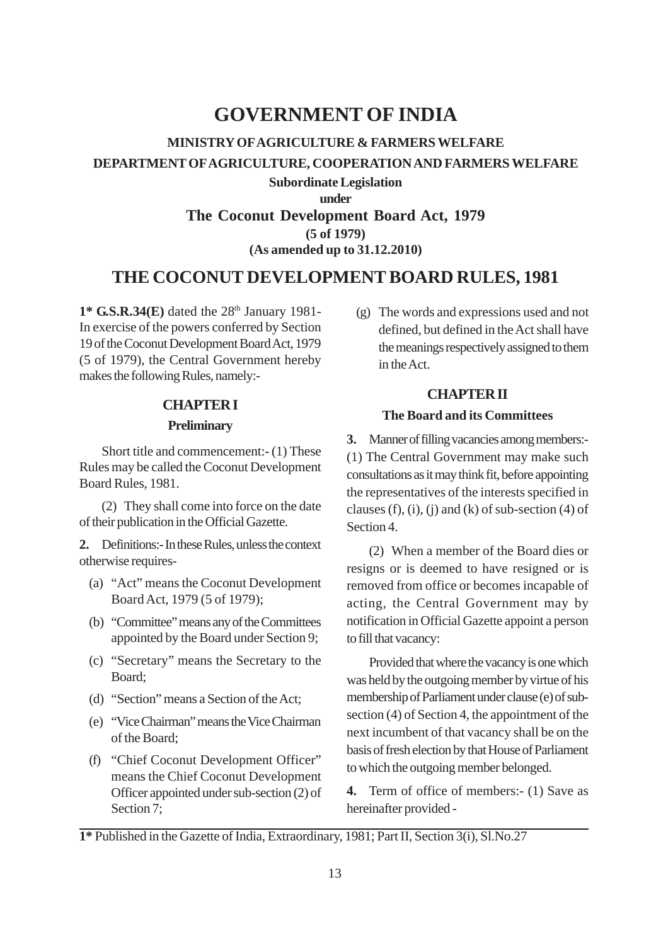## **GOVERNMENT OF INDIA**

# **MINISTRY OFAGRICULTURE & FARMERS WELFARE DEPARTMENT OFAGRICULTURE, COOPERATION AND FARMERS WELFARE**

**Subordinate Legislation under The Coconut Development Board Act, 1979 (5 of 1979) (As amended up to 31.12.2010)**

## **THE COCONUT DEVELOPMENT BOARD RULES, 1981**

1\* **G.S.R.34(E)** dated the 28<sup>th</sup> January 1981-In exercise of the powers conferred by Section 19 of the Coconut Development Board Act, 1979 (5 of 1979), the Central Government hereby makes the following Rules, namely:-

## **CHAPTER I**

#### **Preliminary**

Short title and commencement:- (1) These Rules may be called the Coconut Development Board Rules, 1981.

(2) They shall come into force on the date of their publication in the Official Gazette.

**2.** Definitions:- In these Rules, unless the context otherwise requires-

- (a) "Act" means the Coconut Development Board Act, 1979 (5 of 1979);
- (b) "Committee" means any of the Committees appointed by the Board under Section 9;
- (c) "Secretary" means the Secretary to the Board;
- (d) "Section" means a Section of the Act;
- (e) "Vice Chairman" means the Vice Chairman of the Board;
- (f) "Chief Coconut Development Officer" means the Chief Coconut Development Officer appointed under sub-section (2) of Section 7;

(g) The words and expressions used and not defined, but defined in the Act shall have the meanings respectively assigned to them in the Act.

## **CHAPTER II**

## **The Board and its Committees**

**3.** Manner of filling vacancies among members:- (1) The Central Government may make such consultations as it may think fit, before appointing the representatives of the interests specified in clauses (f), (i), (i) and (k) of sub-section (4) of Section 4.

(2) When a member of the Board dies or resigns or is deemed to have resigned or is removed from office or becomes incapable of acting, the Central Government may by notification in Official Gazette appoint a person to fill that vacancy:

Provided that where the vacancy is one which was held by the outgoing member by virtue of his membership of Parliament under clause (e) of subsection (4) of Section 4, the appointment of the next incumbent of that vacancy shall be on the basis of fresh election by that House of Parliament to which the outgoing member belonged.

**4.** Term of office of members:- (1) Save as hereinafter provided -

**<sup>1\*</sup>** Published in the Gazette of India, Extraordinary, 1981; Part II, Section 3(i), Sl.No.27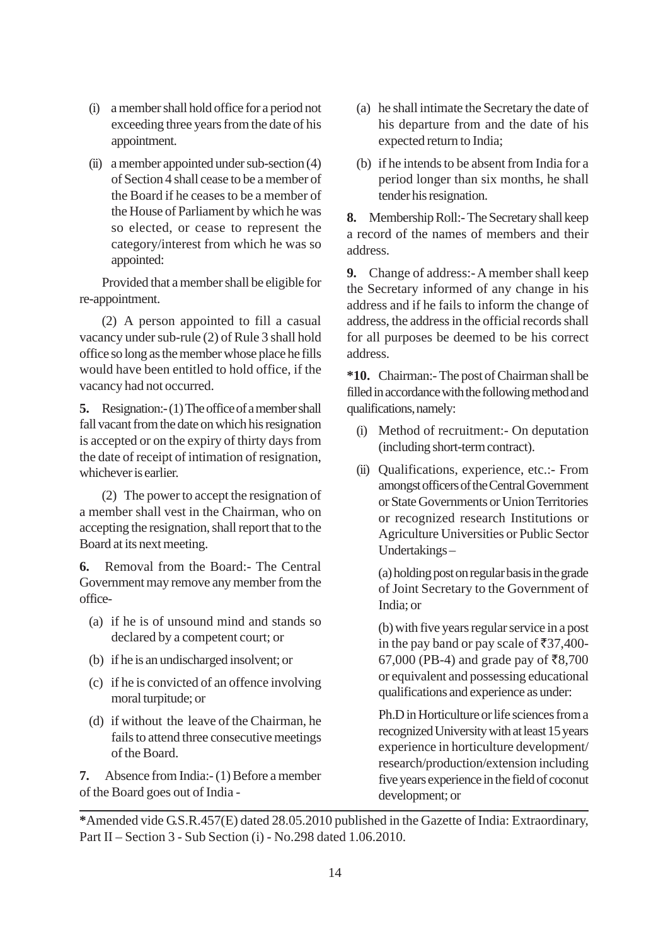- (i) a member shall hold office for a period not exceeding three years from the date of his appointment.
- (ii) a member appointed under sub-section (4) of Section 4 shall cease to be a member of the Board if he ceases to be a member of the House of Parliament by which he was so elected, or cease to represent the category/interest from which he was so appointed:

Provided that a member shall be eligible for re-appointment.

(2) A person appointed to fill a casual vacancy under sub-rule (2) of Rule 3 shall hold office so long as the member whose place he fills would have been entitled to hold office, if the vacancy had not occurred.

**5.** Resignation:- (1) The office of a member shall fall vacant from the date on which his resignation is accepted or on the expiry of thirty days from the date of receipt of intimation of resignation, whichever is earlier.

(2) The power to accept the resignation of a member shall vest in the Chairman, who on accepting the resignation, shall report that to the Board at its next meeting.

**6.** Removal from the Board:- The Central Government may remove any member from the office-

- (a) if he is of unsound mind and stands so declared by a competent court; or
- (b) if he is an undischarged insolvent; or
- (c) if he is convicted of an offence involving moral turpitude; or
- (d) if without the leave of the Chairman, he fails to attend three consecutive meetings of the Board.

**7.** Absence from India:- (1) Before a member of the Board goes out of India -

- (a) he shall intimate the Secretary the date of his departure from and the date of his expected return to India;
- (b) if he intends to be absent from India for a period longer than six months, he shall tender his resignation.

**8.** Membership Roll:- The Secretary shall keep a record of the names of members and their address.

**9.** Change of address:- A member shall keep the Secretary informed of any change in his address and if he fails to inform the change of address, the address in the official records shall for all purposes be deemed to be his correct address.

**\*10.** Chairman:- The post of Chairman shall be filled in accordance with the following method and qualifications, namely:

- (i) Method of recruitment:- On deputation (including short-term contract).
- (ii) Qualifications, experience, etc.:- From amongst officers of the Central Government or State Governments or Union Territories or recognized research Institutions or Agriculture Universities or Public Sector Undertakings –

(a) holding post on regular basis in the grade of Joint Secretary to the Government of India; or

(b) with five years regular service in a post in the pay band or pay scale of  $\overline{537,400}$ -67,000 (PB-4) and grade pay of ₹8,700 or equivalent and possessing educational qualifications and experience as under:

Ph.D in Horticulture or life sciences from a recognized University with at least 15 years experience in horticulture development/ research/production/extension including five years experience in the field of coconut development; or

**\***Amended vide G.S.R.457(E) dated 28.05.2010 published in the Gazette of India: Extraordinary, Part II – Section 3 - Sub Section (i) - No.298 dated 1.06.2010.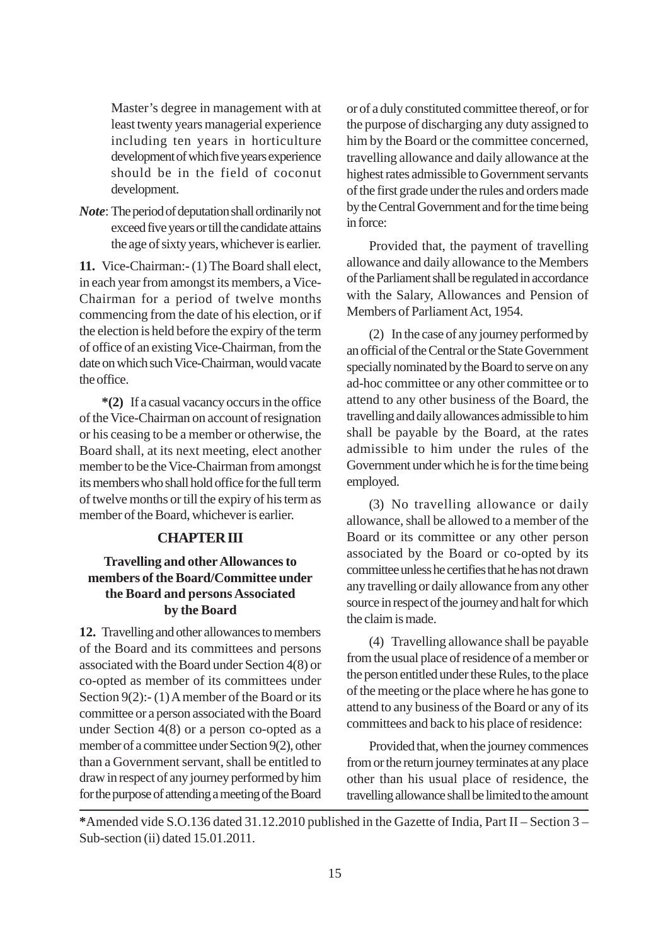Master's degree in management with at least twenty years managerial experience including ten years in horticulture development of which five years experience should be in the field of coconut development.

*Note*: The period of deputation shall ordinarily not exceed five years or till the candidate attains the age of sixty years, whichever is earlier.

**11.** Vice-Chairman:- (1) The Board shall elect, in each year from amongst its members, a Vice-Chairman for a period of twelve months commencing from the date of his election, or if the election is held before the expiry of the term of office of an existing Vice-Chairman, from the date on which such Vice-Chairman, would vacate the office.

**\*(2)** If a casual vacancy occurs in the office of the Vice-Chairman on account of resignation or his ceasing to be a member or otherwise, the Board shall, at its next meeting, elect another member to be the Vice-Chairman from amongst its members who shall hold office for the full term of twelve months or till the expiry of his term as member of the Board, whichever is earlier.

## **CHAPTER III**

## **Travelling and otherAllowances to members of the Board/Committee under the Board and persons Associated by the Board**

**12.** Travelling and other allowances to members of the Board and its committees and persons associated with the Board under Section 4(8) or co-opted as member of its committees under Section 9(2):- (1) A member of the Board or its committee or a person associated with the Board under Section 4(8) or a person co-opted as a member of a committee under Section 9(2), other than a Government servant, shall be entitled to draw in respect of any journey performed by him for the purpose of attending a meeting of the Board or of a duly constituted committee thereof, or for the purpose of discharging any duty assigned to him by the Board or the committee concerned, travelling allowance and daily allowance at the highest rates admissible to Government servants of the first grade under the rules and orders made by the Central Government and for the time being in force:

Provided that, the payment of travelling allowance and daily allowance to the Members of the Parliament shall be regulated in accordance with the Salary, Allowances and Pension of Members of Parliament Act, 1954.

(2) In the case of any journey performed by an official of the Central or the State Government specially nominated by the Board to serve on any ad-hoc committee or any other committee or to attend to any other business of the Board, the travelling and daily allowances admissible to him shall be payable by the Board, at the rates admissible to him under the rules of the Government under which he is for the time being employed.

(3) No travelling allowance or daily allowance, shall be allowed to a member of the Board or its committee or any other person associated by the Board or co-opted by its committee unless he certifies that he has not drawn any travelling or daily allowance from any other source in respect of the journey and halt for which the claim is made.

(4) Travelling allowance shall be payable from the usual place of residence of a member or the person entitled under these Rules, to the place of the meeting or the place where he has gone to attend to any business of the Board or any of its committees and back to his place of residence:

Provided that, when the journey commences from or the return journey terminates at any place other than his usual place of residence, the travelling allowance shall be limited to the amount

**\***Amended vide S.O.136 dated 31.12.2010 published in the Gazette of India, Part II – Section 3 – Sub-section (ii) dated 15.01.2011.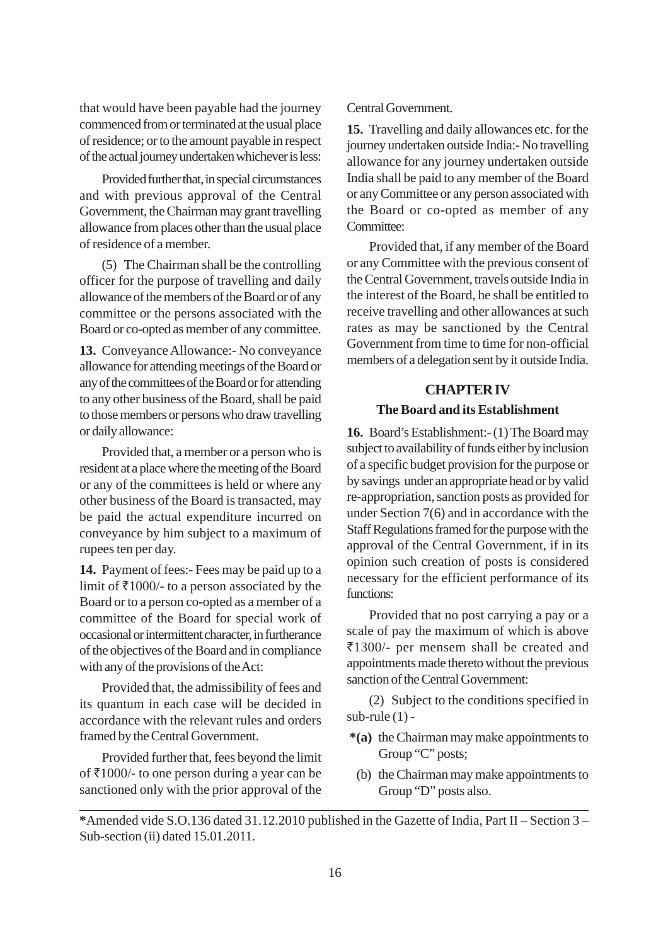that would have been payable had the journey commenced from or terminated at the usual place of residence; or to the amount payable in respect of the actual journey undertaken whichever is less:

Provided further that, in special circumstances and with previous approval of the Central Government, the Chairman may grant travelling allowance from places other than the usual place of residence of a member.

(5) The Chairman shall be the controlling officer for the purpose of travelling and daily allowance of the members of the Board or of any committee or the persons associated with the Board or co-opted as member of any committee.

**13.** Conveyance Allowance:- No conveyance allowance for attending meetings of the Board or any of the committees of the Board or for attending to any other business of the Board, shall be paid to those members or persons who draw travelling or daily allowance:

Provided that, a member or a person who is resident at a place where the meeting of the Board or any of the committees is held or where any other business of the Board is transacted, may be paid the actual expenditure incurred on conveyance by him subject to a maximum of rupees ten per day.

**14.** Payment of fees:- Fees may be paid up to a limit of  $\overline{\xi}$ 1000/- to a person associated by the Board or to a person co-opted as a member of a committee of the Board for special work of occasional or intermittent character, in furtherance of the objectives of the Board and in compliance with any of the provisions of the Act:

Provided that, the admissibility of fees and its quantum in each case will be decided in accordance with the relevant rules and orders framed by the Central Government.

Provided further that, fees beyond the limit of  $\bar{\tau}$ 1000/- to one person during a year can be sanctioned only with the prior approval of the

## Central Government.

**15.** Travelling and daily allowances etc. for the journey undertaken outside India:- No travelling allowance for any journey undertaken outside India shall be paid to any member of the Board or any Committee or any person associated with the Board or co-opted as member of any Committee:

Provided that, if any member of the Board or any Committee with the previous consent of the Central Government, travels outside India in the interest of the Board, he shall be entitled to receive travelling and other allowances at such rates as may be sanctioned by the Central Government from time to time for non-official members of a delegation sent by it outside India.

## **CHAPTER IV**

#### **The Board and its Establishment**

**16.** Board's Establishment:- (1) The Board may subject to availability of funds either by inclusion of a specific budget provision for the purpose or by savings under an appropriate head or by valid re-appropriation, sanction posts as provided for under Section 7(6) and in accordance with the Staff Regulations framed for the purpose with the approval of the Central Government, if in its opinion such creation of posts is considered necessary for the efficient performance of its functions:

Provided that no post carrying a pay or a scale of pay the maximum of which is above `1300/- per mensem shall be created and appointments made thereto without the previous sanction of the Central Government:

(2) Subject to the conditions specified in sub-rule (1) -

- **\*(a)** the Chairman may make appointments to Group "C" posts;
	- (b) the Chairman may make appointments to Group "D" posts also.

**<sup>\*</sup>**Amended vide S.O.136 dated 31.12.2010 published in the Gazette of India, Part II – Section 3 – Sub-section (ii) dated 15.01.2011.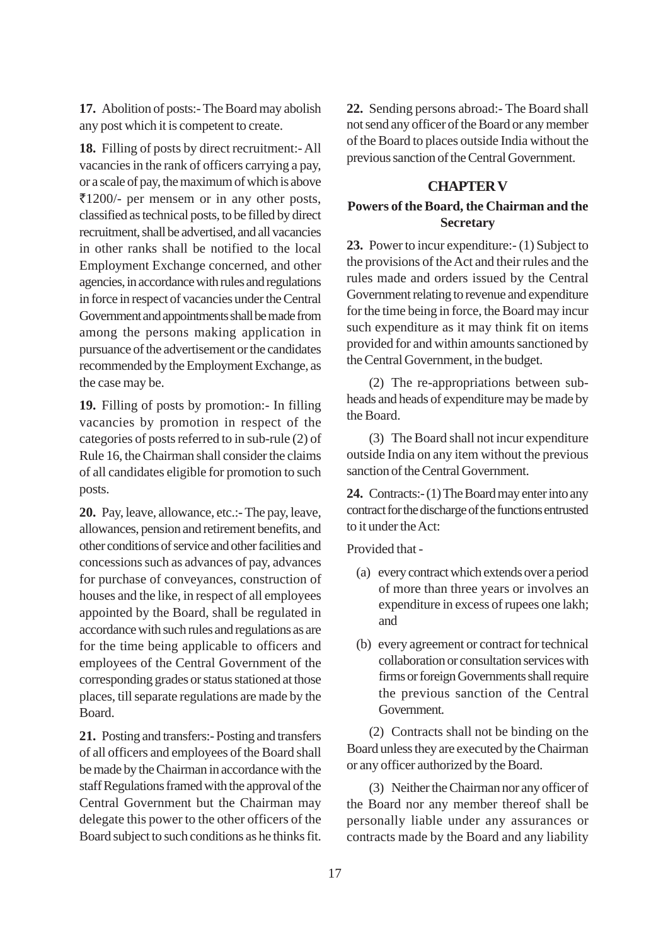**17.** Abolition of posts:- The Board may abolish any post which it is competent to create.

**18.** Filling of posts by direct recruitment:- All vacancies in the rank of officers carrying a pay, or a scale of pay, the maximum of which is above  $\overline{\xi}$ 1200/- per mensem or in any other posts, classified as technical posts, to be filled by direct recruitment, shall be advertised, and all vacancies in other ranks shall be notified to the local Employment Exchange concerned, and other agencies, in accordance with rules and regulations in force in respect of vacancies under the Central Government and appointments shall be made from among the persons making application in pursuance of the advertisement or the candidates recommended by the Employment Exchange, as the case may be.

**19.** Filling of posts by promotion:- In filling vacancies by promotion in respect of the categories of posts referred to in sub-rule (2) of Rule 16, the Chairman shall consider the claims of all candidates eligible for promotion to such posts.

**20.** Pay, leave, allowance, etc.:- The pay, leave, allowances, pension and retirement benefits, and other conditions of service and other facilities and concessions such as advances of pay, advances for purchase of conveyances, construction of houses and the like, in respect of all employees appointed by the Board, shall be regulated in accordance with such rules and regulations as are for the time being applicable to officers and employees of the Central Government of the corresponding grades or status stationed at those places, till separate regulations are made by the Board.

**21.** Posting and transfers:- Posting and transfers of all officers and employees of the Board shall be made by the Chairman in accordance with the staff Regulations framed with the approval of the Central Government but the Chairman may delegate this power to the other officers of the Board subject to such conditions as he thinks fit. **22.** Sending persons abroad:- The Board shall not send any officer of the Board or any member of the Board to places outside India without the previous sanction of the Central Government.

### **CHAPTER V**

## **Powers of the Board, the Chairman and the Secretary**

**23.** Power to incur expenditure:- (1) Subject to the provisions of the Act and their rules and the rules made and orders issued by the Central Government relating to revenue and expenditure for the time being in force, the Board may incur such expenditure as it may think fit on items provided for and within amounts sanctioned by the Central Government, in the budget.

(2) The re-appropriations between subheads and heads of expenditure may be made by the Board.

(3) The Board shall not incur expenditure outside India on any item without the previous sanction of the Central Government.

**24.** Contracts:- (1) The Board may enter into any contract for the discharge of the functions entrusted to it under the Act:

Provided that -

- (a) every contract which extends over a period of more than three years or involves an expenditure in excess of rupees one lakh; and
- (b) every agreement or contract for technical collaboration or consultation services with firms or foreign Governments shall require the previous sanction of the Central Government.

(2) Contracts shall not be binding on the Board unless they are executed by the Chairman or any officer authorized by the Board.

(3) Neither the Chairman nor any officer of the Board nor any member thereof shall be personally liable under any assurances or contracts made by the Board and any liability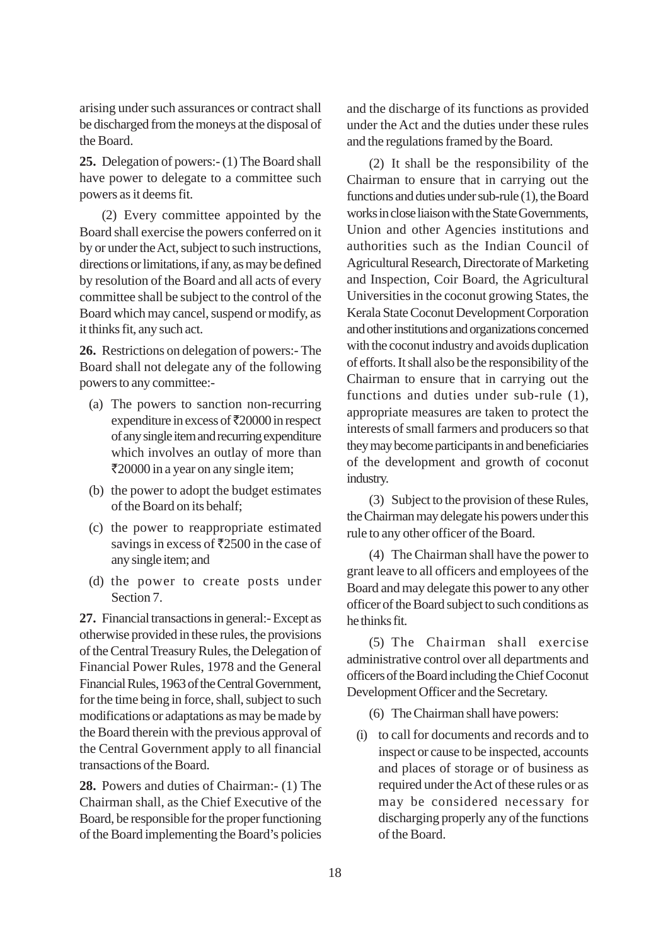arising under such assurances or contract shall be discharged from the moneys at the disposal of the Board.

**25.** Delegation of powers:- (1) The Board shall have power to delegate to a committee such powers as it deems fit.

(2) Every committee appointed by the Board shall exercise the powers conferred on it by or under the Act, subject to such instructions, directions or limitations, if any, as may be defined by resolution of the Board and all acts of every committee shall be subject to the control of the Board which may cancel, suspend or modify, as it thinks fit, any such act.

**26.** Restrictions on delegation of powers:- The Board shall not delegate any of the following powers to any committee:-

- (a) The powers to sanction non-recurring expenditure in excess of  $\bar{\tau}$ 20000 in respect of any single item and recurring expenditure which involves an outlay of more than `20000 in a year on any single item;
- (b) the power to adopt the budget estimates of the Board on its behalf;
- (c) the power to reappropriate estimated savings in excess of  $\overline{5}2500$  in the case of any single item; and
- (d) the power to create posts under Section 7.

**27.** Financial transactions in general:- Except as otherwise provided in these rules, the provisions of the Central Treasury Rules, the Delegation of Financial Power Rules, 1978 and the General Financial Rules, 1963 of the Central Government, for the time being in force, shall, subject to such modifications or adaptations as may be made by the Board therein with the previous approval of the Central Government apply to all financial transactions of the Board.

**28.** Powers and duties of Chairman:- (1) The Chairman shall, as the Chief Executive of the Board, be responsible for the proper functioning of the Board implementing the Board's policies and the discharge of its functions as provided under the Act and the duties under these rules and the regulations framed by the Board.

(2) It shall be the responsibility of the Chairman to ensure that in carrying out the functions and duties under sub-rule (1), the Board works in close liaison with the State Governments, Union and other Agencies institutions and authorities such as the Indian Council of Agricultural Research, Directorate of Marketing and Inspection, Coir Board, the Agricultural Universities in the coconut growing States, the Kerala State Coconut Development Corporation and other institutions and organizations concerned with the coconut industry and avoids duplication of efforts. It shall also be the responsibility of the Chairman to ensure that in carrying out the functions and duties under sub-rule (1), appropriate measures are taken to protect the interests of small farmers and producers so that they may become participants in and beneficiaries of the development and growth of coconut industry.

(3) Subject to the provision of these Rules, the Chairman may delegate his powers under this rule to any other officer of the Board.

(4) The Chairman shall have the power to grant leave to all officers and employees of the Board and may delegate this power to any other officer of the Board subject to such conditions as he thinks fit.

(5) The Chairman shall exercise administrative control over all departments and officers of the Board including the Chief Coconut Development Officer and the Secretary.

- (6) The Chairman shall have powers:
- (i) to call for documents and records and to inspect or cause to be inspected, accounts and places of storage or of business as required under the Act of these rules or as may be considered necessary for discharging properly any of the functions of the Board.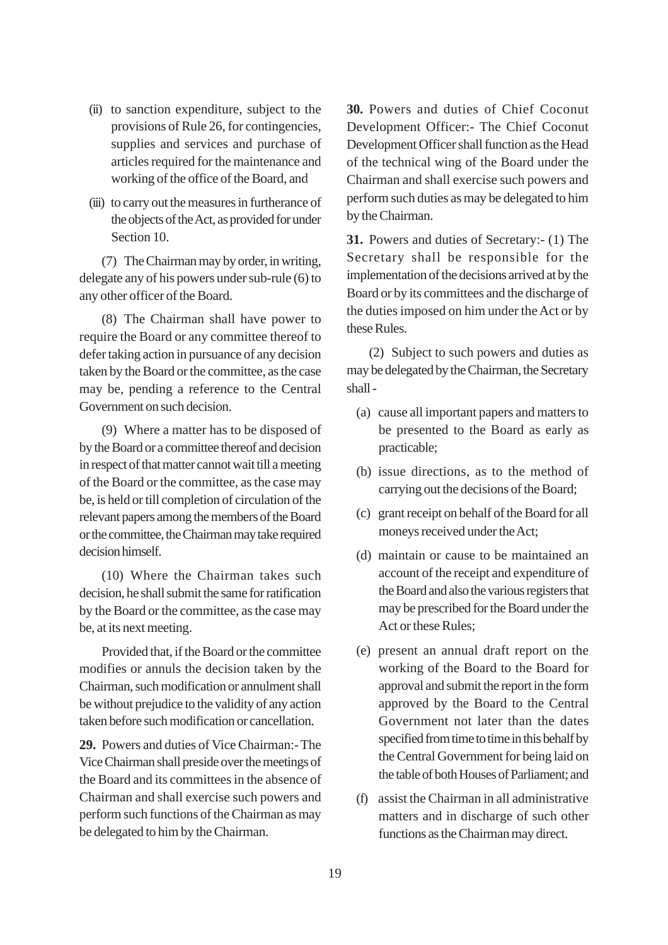- (ii) to sanction expenditure, subject to the provisions of Rule 26, for contingencies, supplies and services and purchase of articles required for the maintenance and working of the office of the Board, and
- (iii) to carry out the measures in furtherance of the objects of the Act, as provided for under Section 10.

(7) The Chairman may by order, in writing, delegate any of his powers under sub-rule (6) to any other officer of the Board.

(8) The Chairman shall have power to require the Board or any committee thereof to defer taking action in pursuance of any decision taken by the Board or the committee, as the case may be, pending a reference to the Central Government on such decision.

(9) Where a matter has to be disposed of by the Board or a committee thereof and decision in respect of that matter cannot wait till a meeting of the Board or the committee, as the case may be, is held or till completion of circulation of the relevant papers among the members of the Board or the committee, the Chairman may take required decision himself.

(10) Where the Chairman takes such decision, he shall submit the same for ratification by the Board or the committee, as the case may be, at its next meeting.

Provided that, if the Board or the committee modifies or annuls the decision taken by the Chairman, such modification or annulment shall be without prejudice to the validity of any action taken before such modification or cancellation.

**29.** Powers and duties of Vice Chairman:- The Vice Chairman shall preside over the meetings of the Board and its committees in the absence of Chairman and shall exercise such powers and perform such functions of the Chairman as may be delegated to him by the Chairman.

**30.** Powers and duties of Chief Coconut Development Officer:- The Chief Coconut Development Officer shall function as the Head of the technical wing of the Board under the Chairman and shall exercise such powers and perform such duties as may be delegated to him by the Chairman.

**31.** Powers and duties of Secretary:- (1) The Secretary shall be responsible for the implementation of the decisions arrived at by the Board or by its committees and the discharge of the duties imposed on him under the Act or by these Rules.

(2) Subject to such powers and duties as may be delegated by the Chairman, the Secretary shall -

- (a) cause all important papers and matters to be presented to the Board as early as practicable;
- (b) issue directions, as to the method of carrying out the decisions of the Board;
- (c) grant receipt on behalf of the Board for all moneys received under the Act;
- (d) maintain or cause to be maintained an account of the receipt and expenditure of the Board and also the various registers that may be prescribed for the Board under the Act or these Rules;
- (e) present an annual draft report on the working of the Board to the Board for approval and submit the report in the form approved by the Board to the Central Government not later than the dates specified from time to time in this behalf by the Central Government for being laid on the table of both Houses of Parliament; and
- (f) assist the Chairman in all administrative matters and in discharge of such other functions as the Chairman may direct.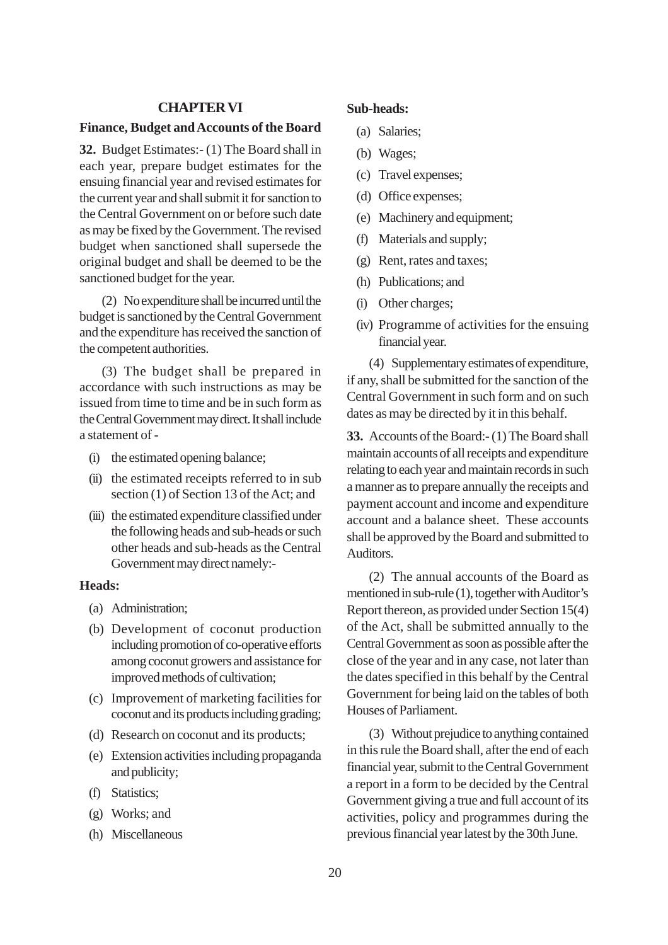## **CHAPTER VI**

#### **Finance, Budget and Accounts of the Board**

**32.** Budget Estimates:- (1) The Board shall in each year, prepare budget estimates for the ensuing financial year and revised estimates for the current year and shall submit it for sanction to the Central Government on or before such date as may be fixed by the Government. The revised budget when sanctioned shall supersede the original budget and shall be deemed to be the sanctioned budget for the year.

(2) No expenditure shall be incurred until the budget is sanctioned by the Central Government and the expenditure has received the sanction of the competent authorities.

(3) The budget shall be prepared in accordance with such instructions as may be issued from time to time and be in such form as the Central Government may direct. It shall include a statement of -

- (i) the estimated opening balance;
- (ii) the estimated receipts referred to in sub section (1) of Section 13 of the Act; and
- (iii) the estimated expenditure classified under the following heads and sub-heads or such other heads and sub-heads as the Central Government may direct namely:-

#### **Heads:**

- (a) Administration;
- (b) Development of coconut production including promotion of co-operative efforts among coconut growers and assistance for improved methods of cultivation;
- (c) Improvement of marketing facilities for coconut and its products including grading;
- (d) Research on coconut and its products;
- (e) Extension activities including propaganda and publicity;
- (f) Statistics;
- (g) Works; and
- (h) Miscellaneous

## **Sub-heads:**

- (a) Salaries;
- (b) Wages;
- (c) Travel expenses;
- (d) Office expenses;
- (e) Machinery and equipment;
- (f) Materials and supply;
- (g) Rent, rates and taxes;
- (h) Publications; and
- (i) Other charges;
- (iv) Programme of activities for the ensuing financial year.

(4) Supplementary estimates of expenditure, if any, shall be submitted for the sanction of the Central Government in such form and on such dates as may be directed by it in this behalf.

**33.** Accounts of the Board:- (1) The Board shall maintain accounts of all receipts and expenditure relating to each year and maintain records in such a manner as to prepare annually the receipts and payment account and income and expenditure account and a balance sheet. These accounts shall be approved by the Board and submitted to Auditors.

(2) The annual accounts of the Board as mentioned in sub-rule (1), together with Auditor's Report thereon, as provided under Section 15(4) of the Act, shall be submitted annually to the Central Government as soon as possible after the close of the year and in any case, not later than the dates specified in this behalf by the Central Government for being laid on the tables of both Houses of Parliament.

(3) Without prejudice to anything contained in this rule the Board shall, after the end of each financial year, submit to the Central Government a report in a form to be decided by the Central Government giving a true and full account of its activities, policy and programmes during the previous financial year latest by the 30th June.